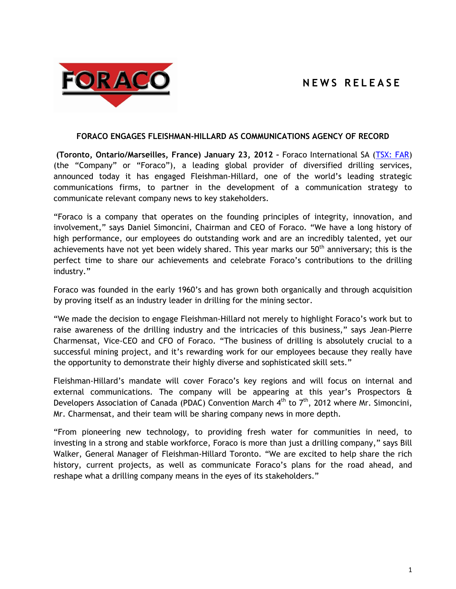# **N E W S R E L E A S E**



#### **FORACO ENGAGES FLEISHMAN-HILLARD AS COMMUNICATIONS AGENCY OF RECORD**

**(Toronto, Ontario/Marseilles, France) January 23, 2012 –** Foraco International SA [\(TSX: FAR\)](http://tmx.quotemedia.com/quote.php?qm_symbol=FAR&locale=EN) (the "Company" or "Foraco"), a leading global provider of diversified drilling services, announced today it has engaged Fleishman-Hillard, one of the world's leading strategic communications firms, to partner in the development of a communication strategy to communicate relevant company news to key stakeholders.

"Foraco is a company that operates on the founding principles of integrity, innovation, and involvement," says Daniel Simoncini, Chairman and CEO of Foraco. "We have a long history of high performance, our employees do outstanding work and are an incredibly talented, yet our achievements have not yet been widely shared. This year marks our  $50<sup>th</sup>$  anniversary; this is the perfect time to share our achievements and celebrate Foraco's contributions to the drilling industry."

Foraco was founded in the early 1960's and has grown both organically and through acquisition by proving itself as an industry leader in drilling for the mining sector.

"We made the decision to engage Fleishman-Hillard not merely to highlight Foraco's work but to raise awareness of the drilling industry and the intricacies of this business," says Jean-Pierre Charmensat, Vice-CEO and CFO of Foraco. "The business of drilling is absolutely crucial to a successful mining project, and it's rewarding work for our employees because they really have the opportunity to demonstrate their highly diverse and sophisticated skill sets."

Fleishman-Hillard's mandate will cover Foraco's key regions and will focus on internal and external communications. The company will be appearing at this year's Prospectors & Developers Association of Canada (PDAC) Convention March  $4<sup>th</sup>$  to  $7<sup>th</sup>$ , 2012 where Mr. Simoncini, Mr. Charmensat, and their team will be sharing company news in more depth.

"From pioneering new technology, to providing fresh water for communities in need, to investing in a strong and stable workforce, Foraco is more than just a drilling company," says Bill Walker, General Manager of Fleishman-Hillard Toronto. "We are excited to help share the rich history, current projects, as well as communicate Foraco's plans for the road ahead, and reshape what a drilling company means in the eyes of its stakeholders."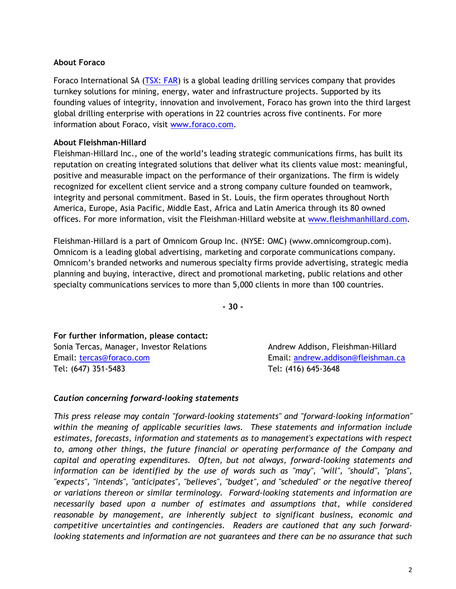## **About Foraco**

Foraco International SA [\(TSX: FAR\)](http://tmx.quotemedia.com/quote.php?qm_symbol=FAR&locale=EN) is a global leading drilling services company that provides turnkey solutions for mining, energy, water and infrastructure projects. Supported by its founding values of integrity, innovation and involvement, Foraco has grown into the third largest global drilling enterprise with operations in 22 countries across five continents. For more information about Foraco, visit www.foraco.com.

## **About Fleishman-Hillard**

Fleishman-Hillard Inc., one of the world's leading strategic communications firms, has built its reputation on creating integrated solutions that deliver what its clients value most: meaningful, positive and measurable impact on the performance of their organizations. The firm is widely recognized for excellent client service and a strong company culture founded on teamwork, integrity and personal commitment. Based in St. Louis, the firm operates throughout North America, Europe, Asia Pacific, Middle East, Africa and Latin America through its 80 owned offices. For more information, visit the Fleishman-Hillard website at [www.fleishmanhillard.com.](http://www.fleishmanhillard.com/)

Fleishman-Hillard is a part of Omnicom Group Inc. (NYSE: OMC) (www.omnicomgroup.com). Omnicom is a leading global advertising, marketing and corporate communications company. Omnicom's branded networks and numerous specialty firms provide advertising, strategic media planning and buying, interactive, direct and promotional marketing, public relations and other specialty communications services to more than 5,000 clients in more than 100 countries.

**- 30 -**

**For further information, please contact:** Sonia Tercas, Manager, Investor Relations **Andrew Addison, Fleishman-Hillard** Email: [tercas@foraco.com](mailto:tercas@foraco.com) Email: [andrew.addison@fleishman.ca](mailto:andrew.addison@fleishman.ca) Tel: (647) 351-5483 Tel: (416) 645-3648

#### *Caution concerning forward-looking statements*

*This press release may contain "forward-looking statements" and "forward-looking information" within the meaning of applicable securities laws. These statements and information include estimates, forecasts, information and statements as to management's expectations with respect to, among other things, the future financial or operating performance of the Company and capital and operating expenditures. Often, but not always, forward-looking statements and information can be identified by the use of words such as "may", "will", "should", "plans", "expects", "intends", "anticipates", "believes", "budget", and "scheduled" or the negative thereof or variations thereon or similar terminology. Forward-looking statements and information are necessarily based upon a number of estimates and assumptions that, while considered reasonable by management, are inherently subject to significant business, economic and competitive uncertainties and contingencies. Readers are cautioned that any such forwardlooking statements and information are not guarantees and there can be no assurance that such*